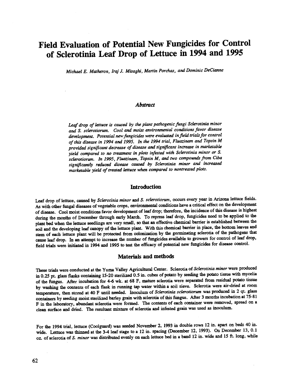# Field Evaluation of Potential New Fungicides for Control of Sclerotinia Leaf Drop of Lettuce in 1994 and 1995

Michael E. Matheron, Iraj J. Misaghi, Martin Porchas, and DominicDeCianne

## **Abstract**

Leaf drop of lettuce is caused by the plant pathogenic fungi Sclerotinia minor and S. sclerotiorum. Cool and moist environmental conditions favor disease development. Potential new fungicides were evaluated in field trials for control of this disease in 1994 and 1995. In the 1994 trial, Fluazinam and Topsin M provided significant decrease of disease and significant increase in marketable yield compared to no treatment in plots infested with Sclerotinia minor or S. sclerotiorum. In 1995, Fluazinam, Topsin M, and two compounds from Ciba significantly reduced disease caused by Sclerotinia minor and increased marketable yield of treated lettuce when compared to nontreated plots.

### **Introduction**

Leaf drop of lettuce, caused by Sclerotinia minor and S. sclerotiorum, occurs every year in Arizona lettuce fields. As with other fungal diseases of vegetable crops, environmental conditions have a critical effect on the development of disease. Cool moist conditions favor development of leaf drop; therefore, the incidence of this disease is highest during the months of December through early March. To repress leaf drop, fungicides need to be applied to the plant bed when the lettuce seedlings are very small, so that an effective chemical barrier is established between the soil and the developing leaf canopy of the lettuce plant. With this chemical barrier in place, the bottom leaves and stem of each lettuce plant will be protected from colonization by the germinating sclerotia of the pathogens that cause leaf drop. In an attempt to increase the number of fungicides available to growers for control of leaf drop, field trials were initiated in 1994 and 1995 to test the efficacy of potential new fungicides for disease control.

#### Materials and methods

These trials were conducted at the Yuma Valley Agricultural Center. Scierotia of Sclerotinia minor were produced in 0.25 pt. glass flasks containing 15 -20 sterilized 0.5 in. cubes of potato by seeding the potato tissue with mycelia of the fungus. After incubation for 4-6 wk. at 68 F, mature sclerotia were separated from residual potato tissue by washing the contents of each flask in running tap water within a soil sieve. Sclerotia were air -dried at room temperature, then stored at 40 F until needed. Inoculum of Sclerotiniasclerotiorum was produced in 2 qt. glass containers by seeding moist sterilized barley grain with sclerotia of this fungus. After 3 months incubation at 75 -81 F in the laboratory, abundant sclerotia were formed. The contents of each container were removed, spread on a clean surface and dried. The resultant mixture of sclerotia and infested grain was used as inoculum.

For the 1994 trial, lettuce (Coolguard) was seeded November 2, 1993 in double rows 12 in. apart on beds 40 in. wide. Lettuce was thinned at the 3-4 leaf stage to a 12 in. spacing (December 12, 1993). On December 13, 0.1 oz. of sclerotia of S. minor was distributed evenly on each lettuce bed in a band 12 in. wide and 15 ft. long, while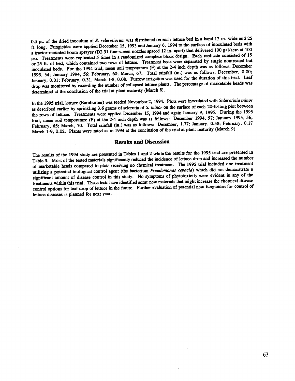0.5 pt. of the dried inoculum of S. sclerotiorum was distributed on each lettuce bed in a band 12 in. wide and 25 ft. long. Fungicides were applied December 15, 1993 and January 6, 1994 to the surface of inoculated beds with a tractor-mounted boom sprayer (D2 31 fine-screen nozzles spaced 12 in. apart) that delivered 100 gal/acre at 100 psi. Treatments were replicated 5 times in a randomized complete block design. Each replicate consisted of 15 or 25 ft. of bed, which contained two rows of lettuce. Treatment beds were separated by single nontreated but inoculated beds. For the 1994 trial, mean soil temperature (F) at the 2-4 inch depth was as follows: December 1993, 54; January 1994, 56; February, 60; March, 67. Total rainfall (in.) was as follows: December, 0.00; January, 0.01; February, 0.31, March 1 -8, 0.08. Furrow irrigation was used for the duration of this trial. Leaf drop was monitored by recording the number of collapsed lettuce plants. The percentage of marketable heads was determined at the conclusion of the trial at plant maturity (March 8).

In the 1995 trial, lettuce (Barnburner) was seeded November 2, 1994. Plots were inoculated with Sclerotinia minor as described earlier by sprinkling 3.6 grams of sclerotia of S. minor on the surface of each 20-ft-long plot between the rows of lettuce. Treatments were applied December 15, 1994 and again January 9, 1995. During the 1995 trial, mean soil temperature (F) at the 2-4 inch depth was as follows: December 1994, 57; January 1995, 56; February, 65; March, 70. Total rainfall (in.) was as follows: December, 1.77; January, 0.58; February, 0.17 March 1-9, 0.02. Plants were rated as in 1994 at the conclusion of the trial at plant maturity (March 9).

#### Results and Discussion

The results of the 1994 study are presented in Tables 1 and 2 while the results for the 1995 trial are presented in Table 3. Most of the tested materials significantly reduced the incidence of lettuce drop and increased the number of marketable heads compared to plots receiving no chemical treatment. The 1995 trial included one treatment utilizing a potential biological control agent (the bacterium Pseudomonas cepacia) which did not demonstrate a significant amount of disease control in this study. No symptoms of phytotoxicity were evident in any of the treatments within this trial. These tests have identified some new materials that might increase the chemical disease control options for leaf drop of lettuce in the future. Further evaluation of potential new fungicides for control of lettuce diseases is planned for next year.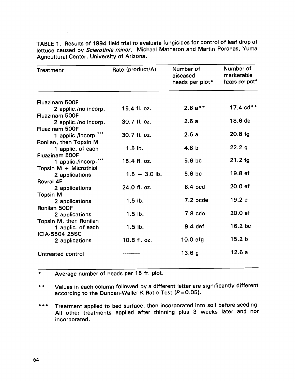| Treatment                                   | Rate (product/A) | Number of<br>diseased<br>heads per plot* | Number of<br>marketable<br>heads per plot* |
|---------------------------------------------|------------------|------------------------------------------|--------------------------------------------|
| <b>Fluazinam 500F</b>                       |                  |                                          |                                            |
| 2 applic./no incorp.                        | 15.4 fl. oz.     | $2.6a**$                                 | 17.4 $cd**$                                |
| Fluazinam 500F                              |                  |                                          |                                            |
| 2 applic./no incorp.                        | 30.7 fl. oz.     | 2.6a                                     | 18.6 de                                    |
| <b>Fluazinam 500F</b>                       |                  |                                          |                                            |
| 1 applic./incorp.""                         | 30.7 fl. oz.     | 2.6a                                     | $20.8$ fg                                  |
| Ronilan, then Topsin M                      | $1.5$ lb.        | 4.8 b                                    | 22.2 <sub>g</sub>                          |
| 1 applic. of each<br>Fluazinam 500F         |                  |                                          |                                            |
| 1 applic./incorp.**'                        | 15.4 fl. oz.     | 5.6 bc                                   | $21.2$ fg                                  |
| Topsin $M +$ Microthiol                     |                  |                                          |                                            |
| 2 applications                              | $1.5 + 3.0$ lb.  | 5.6bc                                    | 19.8 ef                                    |
| Rovral 4F                                   |                  |                                          |                                            |
| 2 applications                              | 24.0 fl. oz.     | 6.4 bcd                                  | 20.0 ef                                    |
| <b>Topsin M</b>                             |                  |                                          |                                            |
| 2 applications                              | $1.5$ lb.        | $7.2$ bcde                               | 19.2e                                      |
| Ronilan 50DF                                |                  | $7.8$ cde                                | 20.0 ef                                    |
| 2 applications                              | $1.5$ lb.        |                                          |                                            |
| Topsin M, then Ronilan<br>1 applic. of each | $1.5$ lb.        | $9.4$ def                                | 16.2 bc                                    |
| <b>ICIA-5504 25SC</b>                       |                  |                                          |                                            |
| 2 applications                              | 10.8 fl. oz.     | $10.0$ efg                               | 15.2 <sub>b</sub>                          |
|                                             |                  |                                          |                                            |
| Untreated control                           |                  | 13.6 <sub>g</sub>                        | 12.6 a                                     |
|                                             |                  |                                          |                                            |

TABLE 1. Results of 1994 field trial to evaluate fungicides for control of leaf drop of lettuce caused by Sclerotinia minor. Michael Matheron and Martin Porchas, Yuma Agricultural Center, University of Arizona.

 $\overline{\ast}$ Average number of heads per 15 ft. plot.

- Values in each column followed by a different letter are significantly different  $* *$ according to the Duncan-Waller K-Ratio Test  $(P= 0.05)$ .
- Treatment applied to bed surface, then incorporated into soil before seeding. \* \* \* All other treatments applied after thinning plus 3 weeks later and not incorporated.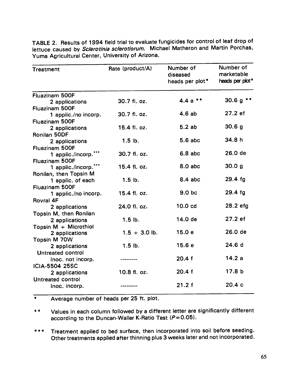| Treatment                      | Rate (product/A) | Number of<br>diseased<br>heads per plot* | Number of<br>marketable<br>heads per plot* |
|--------------------------------|------------------|------------------------------------------|--------------------------------------------|
| Fluazinam 500F                 |                  |                                          |                                            |
| 2 applications                 | 30.7 fl. oz.     | $4.4a$ **                                | 30.6 $g$ **                                |
| Fluazinam 500F                 |                  | 4.6ab                                    | 27.2 ef                                    |
| 1 applic./no incorp.           | 30.7 fl. oz.     |                                          |                                            |
| Fluazinam 500F                 |                  | 5.2ab                                    | 30.6 <sub>g</sub>                          |
| 2 applications                 | 15.4 fl. oz.     |                                          |                                            |
| Ronilan 50DF<br>2 applications | $1.5$ lb.        | $5.6$ abc                                | 34.8 h                                     |
| Fluazinam 500F                 |                  |                                          |                                            |
| 1 applic./incorp."**           | 30.7 fl. oz.     | $6.8$ abc                                | 26.0 de                                    |
| Fluazinam 500F                 |                  |                                          |                                            |
| 1 applic./incorp."**           | 15.4 fl. oz.     | $8.0$ abc                                | 30.0 g                                     |
| Ronilan, then Topsin M         |                  |                                          |                                            |
| 1 applic. of each              | $1.5$ lb.        | $8.4$ abc                                | $29.4$ fg                                  |
| Fluazinam 500F                 |                  |                                          |                                            |
| 1 applic./no incorp.           | 15.4 fl. oz.     | 9.0 <sub>b</sub>                         | 29.4 fg                                    |
| Rovral 4F                      |                  |                                          |                                            |
| 2 applications                 | 24.0 fl. oz.     | 10.0 <sub>cd</sub>                       | 28.2 efg                                   |
| Topsin M, then Ronilan         |                  |                                          |                                            |
| 2 applications                 | $1.5$ lb.        | 14.0 de                                  | 27.2 ef                                    |
| Topsin M + Microthiol          |                  | 15.0e                                    | 26.0 de                                    |
| 2 applications                 | $1.5 + 3.0$ lb.  |                                          |                                            |
| Topsin M 70W<br>2 applications | $1.5$ lb.        | 15.6e                                    | 24.6 d                                     |
| Untreated control              |                  |                                          |                                            |
| Inoc. not incorp.              |                  | 20.4 f                                   | 14.2a                                      |
| <b>ICIA-5504 25SC</b>          |                  |                                          |                                            |
| 2 applications                 | 10.8 fl. oz.     | 20.4 f                                   | 17.8 <sub>b</sub>                          |
| Untreated control              |                  |                                          |                                            |
| Inoc. incorp.                  |                  | 21.2 f                                   | 20.4c                                      |
|                                |                  |                                          |                                            |

TABLE 2. Results of 1994 field trial to evaluate fungicides for control of leaf drop of lettuce caused by Sclerotinia sclerotiorum. Michael Matheron and Martin Porchas, Yuma Agricultural Center, University of Arizona.

\* Average number of heads per 25 ft. plot.

- \*\* Values in each column followed by a different letter are significantly different according to the Duncan-Waller K-Ratio Test  $(P= 0.05)$ .
- \*\*\* Treatment applied to bed surface, then incorporated into soil before seeding. Other treatments applied after thinning plus 3 weeks later and not incorporated.